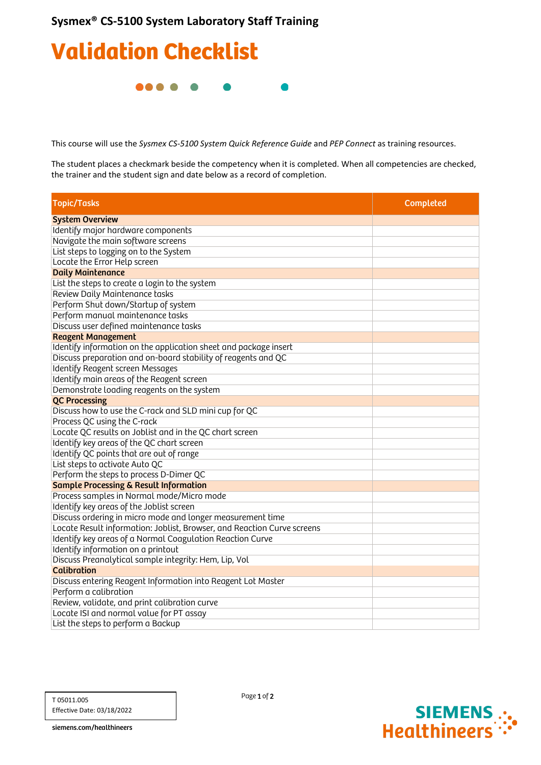## Validation Checklist

**.....** 

This course will use the *Sysmex CS-5100 System Quick Reference Guide* and *PEP Connect* as training resources.

The student places a checkmark beside the competency when it is completed. When all competencies are checked, the trainer and the student sign and date below as a record of completion.

| <b>Topic/Tasks</b>                                                      | <b>Completed</b> |
|-------------------------------------------------------------------------|------------------|
| <b>System Overview</b>                                                  |                  |
| Identify major hardware components                                      |                  |
| Navigate the main software screens                                      |                  |
| List steps to logging on to the System                                  |                  |
| Locate the Error Help screen                                            |                  |
| <b>Daily Maintenance</b>                                                |                  |
| List the steps to create a login to the system                          |                  |
| Review Daily Maintenance tasks                                          |                  |
| Perform Shut down/Startup of system                                     |                  |
| Perform manual maintenance tasks                                        |                  |
| Discuss user defined maintenance tasks                                  |                  |
| <b>Reagent Management</b>                                               |                  |
| Identify information on the application sheet and package insert        |                  |
| Discuss preparation and on-board stability of reagents and QC           |                  |
| Identify Reagent screen Messages                                        |                  |
| Identify main areas of the Reagent screen                               |                  |
| Demonstrate loading reagents on the system                              |                  |
| <b>QC Processing</b>                                                    |                  |
| Discuss how to use the C-rack and SLD mini cup for QC                   |                  |
| Process QC using the C-rack                                             |                  |
| Locate QC results on Joblist and in the QC chart screen                 |                  |
| Identify key areas of the QC chart screen                               |                  |
| Identify QC points that are out of range                                |                  |
| List steps to activate Auto QC                                          |                  |
| Perform the steps to process D-Dimer QC                                 |                  |
| <b>Sample Processing &amp; Result Information</b>                       |                  |
| Process samples in Normal mode/Micro mode                               |                  |
| Identify key areas of the Joblist screen                                |                  |
| Discuss ordering in micro mode and longer measurement time              |                  |
| Locate Result information: Joblist, Browser, and Reaction Curve screens |                  |
| Identify key areas of a Normal Coagulation Reaction Curve               |                  |
| Identify information on a printout                                      |                  |
| Discuss Preanalytical sample integrity: Hem, Lip, Vol                   |                  |
| <b>Calibration</b>                                                      |                  |
| Discuss entering Reagent Information into Reagent Lot Master            |                  |
| Perform a calibration                                                   |                  |
| Review, validate, and print calibration curve                           |                  |
| Locate ISI and normal value for PT assay                                |                  |
| List the steps to perform a Backup                                      |                  |

Page 1 of 2



siemens.com/healthineers